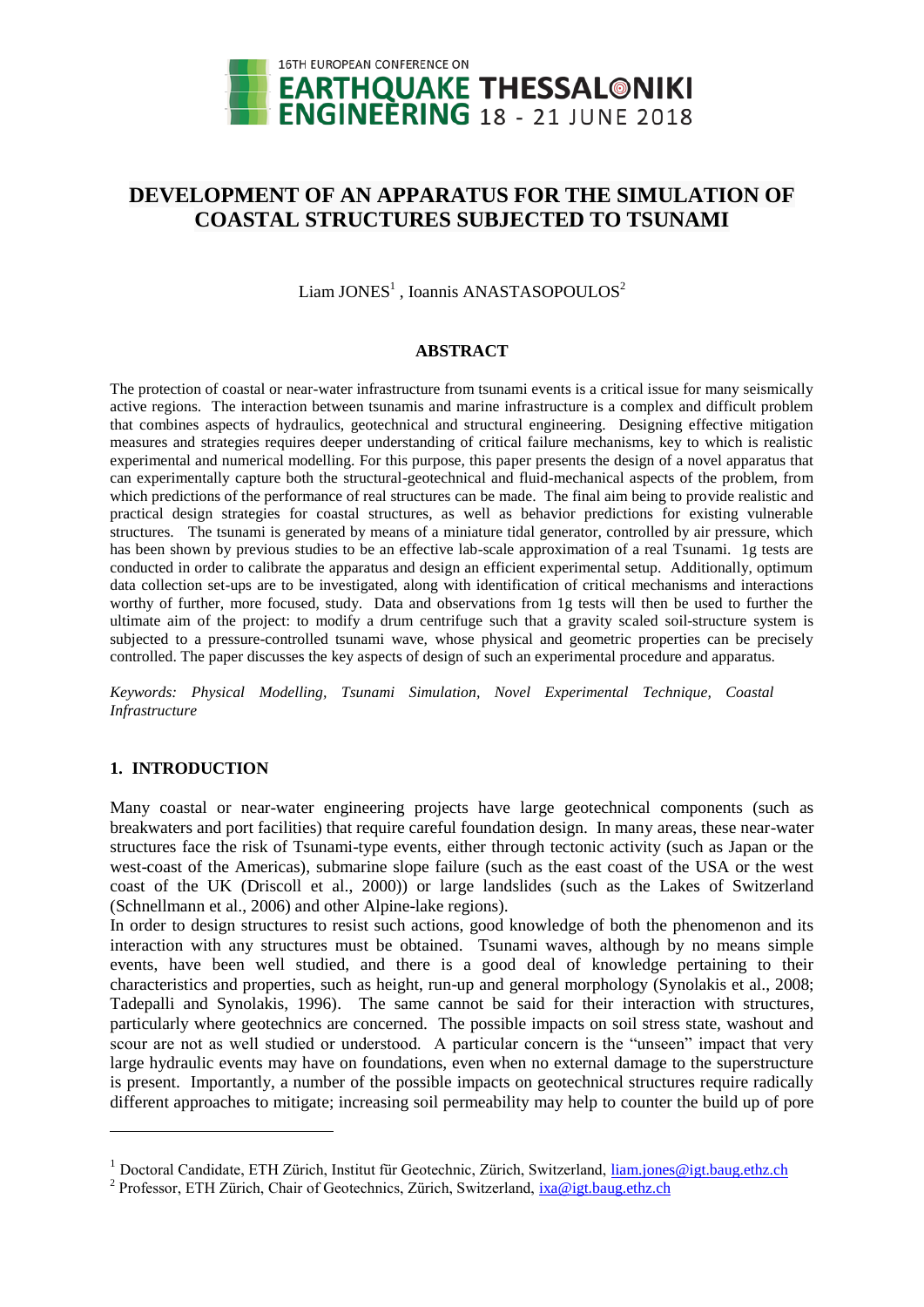

# **DEVELOPMENT OF AN APPARATUS FOR THE SIMULATION OF COASTAL STRUCTURES SUBJECTED TO TSUNAMI**

Liam JONES<sup>1</sup>, Ioannis ANASTASOPOULOS<sup>2</sup>

#### **ABSTRACT**

The protection of coastal or near-water infrastructure from tsunami events is a critical issue for many seismically active regions. The interaction between tsunamis and marine infrastructure is a complex and difficult problem that combines aspects of hydraulics, geotechnical and structural engineering. Designing effective mitigation measures and strategies requires deeper understanding of critical failure mechanisms, key to which is realistic experimental and numerical modelling. For this purpose, this paper presents the design of a novel apparatus that can experimentally capture both the structural-geotechnical and fluid-mechanical aspects of the problem, from which predictions of the performance of real structures can be made. The final aim being to provide realistic and practical design strategies for coastal structures, as well as behavior predictions for existing vulnerable structures. The tsunami is generated by means of a miniature tidal generator, controlled by air pressure, which has been shown by previous studies to be an effective lab-scale approximation of a real Tsunami. 1g tests are conducted in order to calibrate the apparatus and design an efficient experimental setup. Additionally, optimum data collection set-ups are to be investigated, along with identification of critical mechanisms and interactions worthy of further, more focused, study. Data and observations from 1g tests will then be used to further the ultimate aim of the project: to modify a drum centrifuge such that a gravity scaled soil-structure system is subjected to a pressure-controlled tsunami wave, whose physical and geometric properties can be precisely controlled. The paper discusses the key aspects of design of such an experimental procedure and apparatus.

*Keywords: Physical Modelling, Tsunami Simulation, Novel Experimental Technique, Coastal Infrastructure*

## **1. INTRODUCTION**

l

Many coastal or near-water engineering projects have large geotechnical components (such as breakwaters and port facilities) that require careful foundation design. In many areas, these near-water structures face the risk of Tsunami-type events, either through tectonic activity (such as Japan or the west-coast of the Americas), submarine slope failure (such as the east coast of the USA or the west coast of the UK (Driscoll et al., 2000)) or large landslides (such as the Lakes of Switzerland (Schnellmann et al., 2006) and other Alpine-lake regions).

In order to design structures to resist such actions, good knowledge of both the phenomenon and its interaction with any structures must be obtained. Tsunami waves, although by no means simple events, have been well studied, and there is a good deal of knowledge pertaining to their characteristics and properties, such as height, run-up and general morphology (Synolakis et al., 2008; Tadepalli and Synolakis, 1996). The same cannot be said for their interaction with structures, particularly where geotechnics are concerned. The possible impacts on soil stress state, washout and scour are not as well studied or understood. A particular concern is the "unseen" impact that very large hydraulic events may have on foundations, even when no external damage to the superstructure is present. Importantly, a number of the possible impacts on geotechnical structures require radically different approaches to mitigate; increasing soil permeability may help to counter the build up of pore

<sup>&</sup>lt;sup>1</sup> Doctoral Candidate, ETH Zürich, Institut für Geotechnic, Zürich, Switzerland, [liam.jones@igt.baug.ethz.ch](mailto:liam.jones@igt.baug.ethz.ch)

<sup>&</sup>lt;sup>2</sup> Professor, ETH Zürich, Chair of Geotechnics, Zürich, Switzerland,  $\frac{ixa@igt.baug.ethz.ch}{}$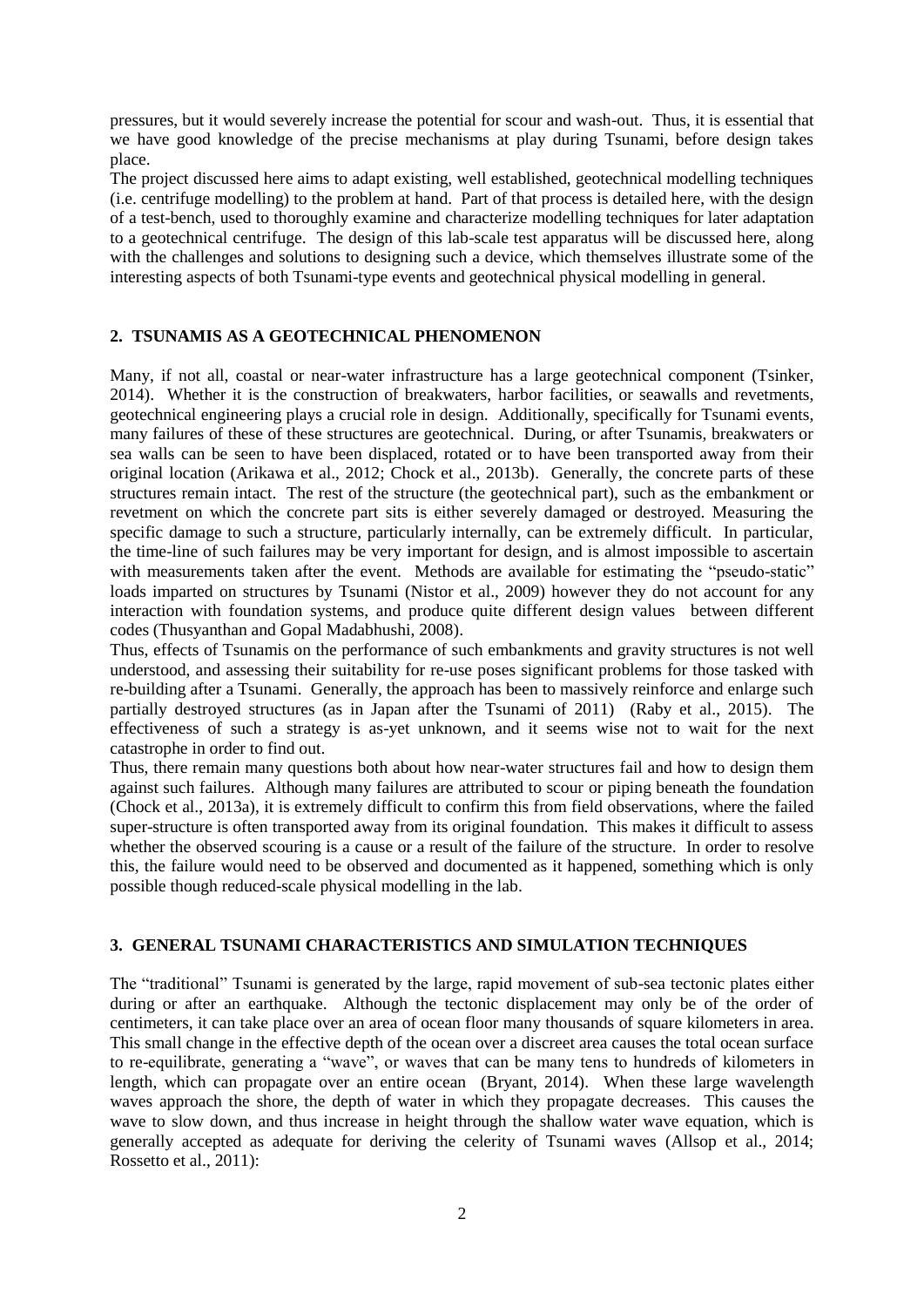pressures, but it would severely increase the potential for scour and wash-out. Thus, it is essential that we have good knowledge of the precise mechanisms at play during Tsunami, before design takes place.

The project discussed here aims to adapt existing, well established, geotechnical modelling techniques (i.e. centrifuge modelling) to the problem at hand. Part of that process is detailed here, with the design of a test-bench, used to thoroughly examine and characterize modelling techniques for later adaptation to a geotechnical centrifuge. The design of this lab-scale test apparatus will be discussed here, along with the challenges and solutions to designing such a device, which themselves illustrate some of the interesting aspects of both Tsunami-type events and geotechnical physical modelling in general.

# **2. TSUNAMIS AS A GEOTECHNICAL PHENOMENON**

Many, if not all, coastal or near-water infrastructure has a large geotechnical component (Tsinker, 2014). Whether it is the construction of breakwaters, harbor facilities, or seawalls and revetments, geotechnical engineering plays a crucial role in design. Additionally, specifically for Tsunami events, many failures of these of these structures are geotechnical. During, or after Tsunamis, breakwaters or sea walls can be seen to have been displaced, rotated or to have been transported away from their original location (Arikawa et al., 2012; Chock et al., 2013b). Generally, the concrete parts of these structures remain intact. The rest of the structure (the geotechnical part), such as the embankment or revetment on which the concrete part sits is either severely damaged or destroyed. Measuring the specific damage to such a structure, particularly internally, can be extremely difficult. In particular, the time-line of such failures may be very important for design, and is almost impossible to ascertain with measurements taken after the event. Methods are available for estimating the "pseudo-static" loads imparted on structures by Tsunami (Nistor et al., 2009) however they do not account for any interaction with foundation systems, and produce quite different design values between different codes (Thusyanthan and Gopal Madabhushi, 2008).

Thus, effects of Tsunamis on the performance of such embankments and gravity structures is not well understood, and assessing their suitability for re-use poses significant problems for those tasked with re-building after a Tsunami. Generally, the approach has been to massively reinforce and enlarge such partially destroyed structures (as in Japan after the Tsunami of 2011) (Raby et al., 2015). The effectiveness of such a strategy is as-yet unknown, and it seems wise not to wait for the next catastrophe in order to find out.

Thus, there remain many questions both about how near-water structures fail and how to design them against such failures. Although many failures are attributed to scour or piping beneath the foundation (Chock et al., 2013a), it is extremely difficult to confirm this from field observations, where the failed super-structure is often transported away from its original foundation. This makes it difficult to assess whether the observed scouring is a cause or a result of the failure of the structure. In order to resolve this, the failure would need to be observed and documented as it happened, something which is only possible though reduced-scale physical modelling in the lab.

## **3. GENERAL TSUNAMI CHARACTERISTICS AND SIMULATION TECHNIQUES**

The "traditional" Tsunami is generated by the large, rapid movement of sub-sea tectonic plates either during or after an earthquake. Although the tectonic displacement may only be of the order of centimeters, it can take place over an area of ocean floor many thousands of square kilometers in area. This small change in the effective depth of the ocean over a discreet area causes the total ocean surface to re-equilibrate, generating a "wave", or waves that can be many tens to hundreds of kilometers in length, which can propagate over an entire ocean (Bryant, 2014). When these large wavelength waves approach the shore, the depth of water in which they propagate decreases. This causes the wave to slow down, and thus increase in height through the shallow water wave equation, which is generally accepted as adequate for deriving the celerity of Tsunami waves (Allsop et al., 2014; Rossetto et al., 2011):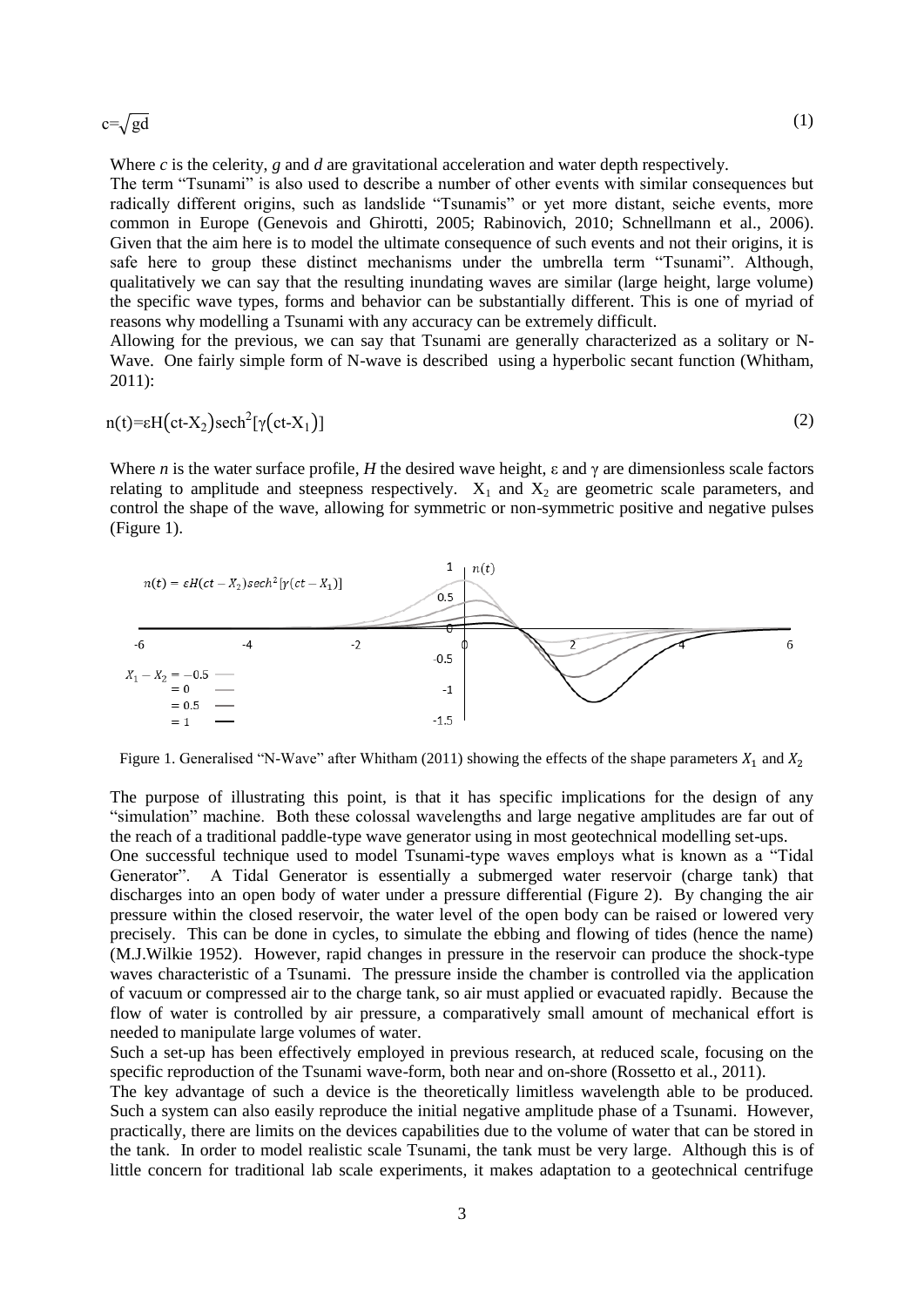# $c = \sqrt{gd}$  (1)

Where *c* is the celerity, *g* and *d* are gravitational acceleration and water depth respectively.

The term "Tsunami" is also used to describe a number of other events with similar consequences but radically different origins, such as landslide "Tsunamis" or yet more distant, seiche events, more common in Europe (Genevois and Ghirotti, 2005; Rabinovich, 2010; Schnellmann et al., 2006). Given that the aim here is to model the ultimate consequence of such events and not their origins, it is safe here to group these distinct mechanisms under the umbrella term "Tsunami". Although, qualitatively we can say that the resulting inundating waves are similar (large height, large volume) the specific wave types, forms and behavior can be substantially different. This is one of myriad of reasons why modelling a Tsunami with any accuracy can be extremely difficult.

Allowing for the previous, we can say that Tsunami are generally characterized as a solitary or N-Wave. One fairly simple form of N-wave is described using a hyperbolic secant function (Whitham, 2011):

$$
n(t)=\varepsilon H\left(ct-X_2\right)\operatorname{sech}^2[\gamma(ct-X_1)]\tag{2}
$$

Where *n* is the water surface profile, *H* the desired wave height, and  $\gamma$  are dimensionless scale factors relating to amplitude and steepness respectively.  $X_1$  and  $X_2$  are geometric scale parameters, and control the shape of the wave, allowing for symmetric or non-symmetric positive and negative pulses (Figure 1).



Figure 1. Generalised "N-Wave" after Whitham (2011) showing the effects of the shape parameters  $X_1$  and  $X_2$ 

The purpose of illustrating this point, is that it has specific implications for the design of any "simulation" machine. Both these colossal wavelengths and large negative amplitudes are far out of the reach of a traditional paddle-type wave generator using in most geotechnical modelling set-ups.

One successful technique used to model Tsunami-type waves employs what is known as a "Tidal Generator". A Tidal Generator is essentially a submerged water reservoir (charge tank) that discharges into an open body of water under a pressure differential (Figure 2). By changing the air pressure within the closed reservoir, the water level of the open body can be raised or lowered very precisely. This can be done in cycles, to simulate the ebbing and flowing of tides (hence the name) (M.J.Wilkie 1952). However, rapid changes in pressure in the reservoir can produce the shock-type waves characteristic of a Tsunami. The pressure inside the chamber is controlled via the application of vacuum or compressed air to the charge tank, so air must applied or evacuated rapidly. Because the flow of water is controlled by air pressure, a comparatively small amount of mechanical effort is needed to manipulate large volumes of water.

Such a set-up has been effectively employed in previous research, at reduced scale, focusing on the specific reproduction of the Tsunami wave-form, both near and on-shore (Rossetto et al., 2011).

The key advantage of such a device is the theoretically limitless wavelength able to be produced. Such a system can also easily reproduce the initial negative amplitude phase of a Tsunami. However, practically, there are limits on the devices capabilities due to the volume of water that can be stored in the tank. In order to model realistic scale Tsunami, the tank must be very large. Although this is of little concern for traditional lab scale experiments, it makes adaptation to a geotechnical centrifuge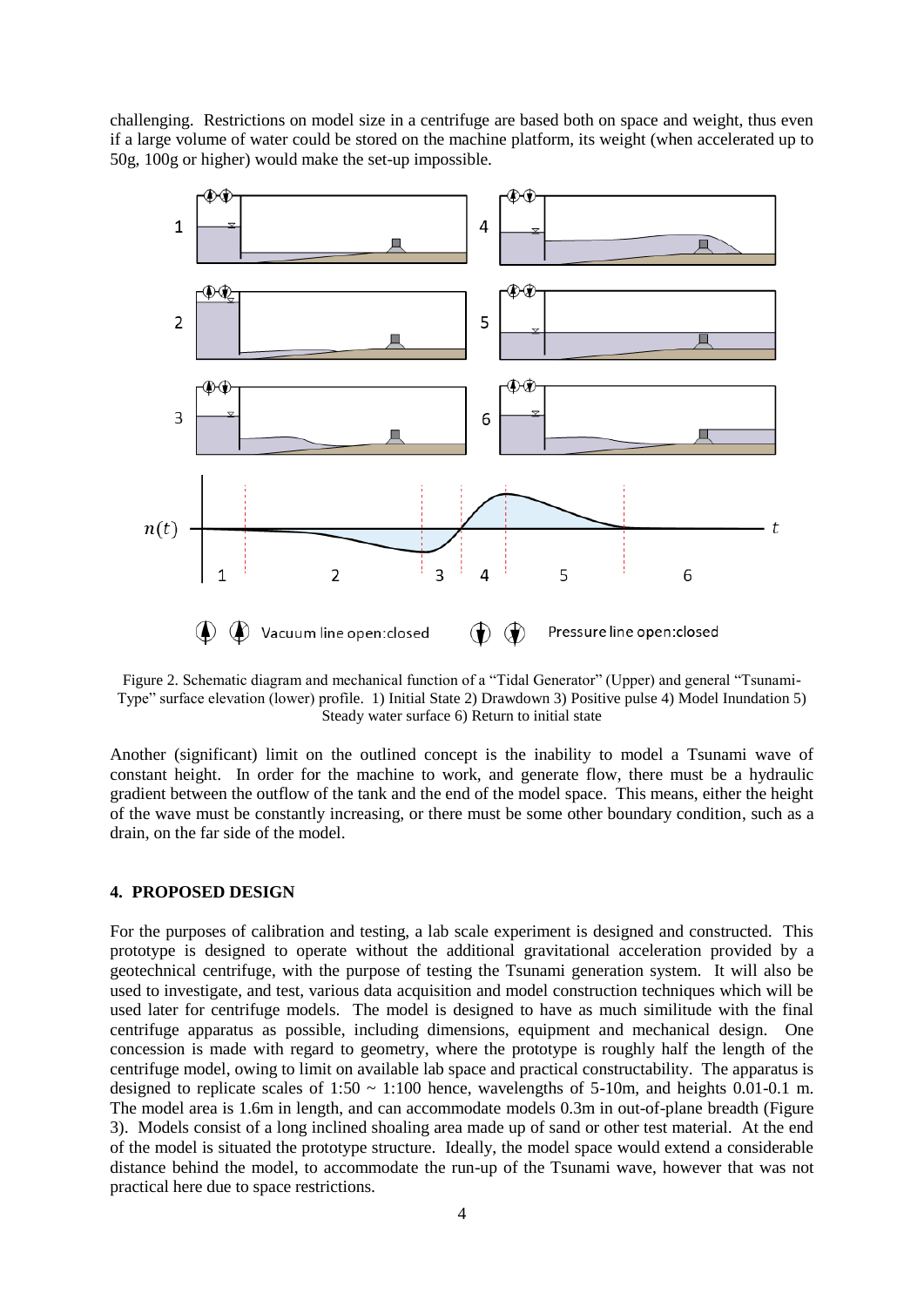challenging. Restrictions on model size in a centrifuge are based both on space and weight, thus even if a large volume of water could be stored on the machine platform, its weight (when accelerated up to 50g, 100g or higher) would make the set-up impossible.



Figure 2. Schematic diagram and mechanical function of a "Tidal Generator" (Upper) and general "Tsunami-Type" surface elevation (lower) profile. 1) Initial State 2) Drawdown 3) Positive pulse 4) Model Inundation 5) Steady water surface 6) Return to initial state

Another (significant) limit on the outlined concept is the inability to model a Tsunami wave of constant height. In order for the machine to work, and generate flow, there must be a hydraulic gradient between the outflow of the tank and the end of the model space. This means, either the height of the wave must be constantly increasing, or there must be some other boundary condition, such as a drain, on the far side of the model.

#### **4. PROPOSED DESIGN**

For the purposes of calibration and testing, a lab scale experiment is designed and constructed. This prototype is designed to operate without the additional gravitational acceleration provided by a geotechnical centrifuge, with the purpose of testing the Tsunami generation system. It will also be used to investigate, and test, various data acquisition and model construction techniques which will be used later for centrifuge models. The model is designed to have as much similitude with the final centrifuge apparatus as possible, including dimensions, equipment and mechanical design. One concession is made with regard to geometry, where the prototype is roughly half the length of the centrifuge model, owing to limit on available lab space and practical constructability. The apparatus is designed to replicate scales of  $1:50 \sim 1:100$  hence, wavelengths of 5-10m, and heights 0.01-0.1 m. The model area is 1.6m in length, and can accommodate models 0.3m in out-of-plane breadth (Figure 3). Models consist of a long inclined shoaling area made up of sand or other test material. At the end of the model is situated the prototype structure. Ideally, the model space would extend a considerable distance behind the model, to accommodate the run-up of the Tsunami wave, however that was not practical here due to space restrictions.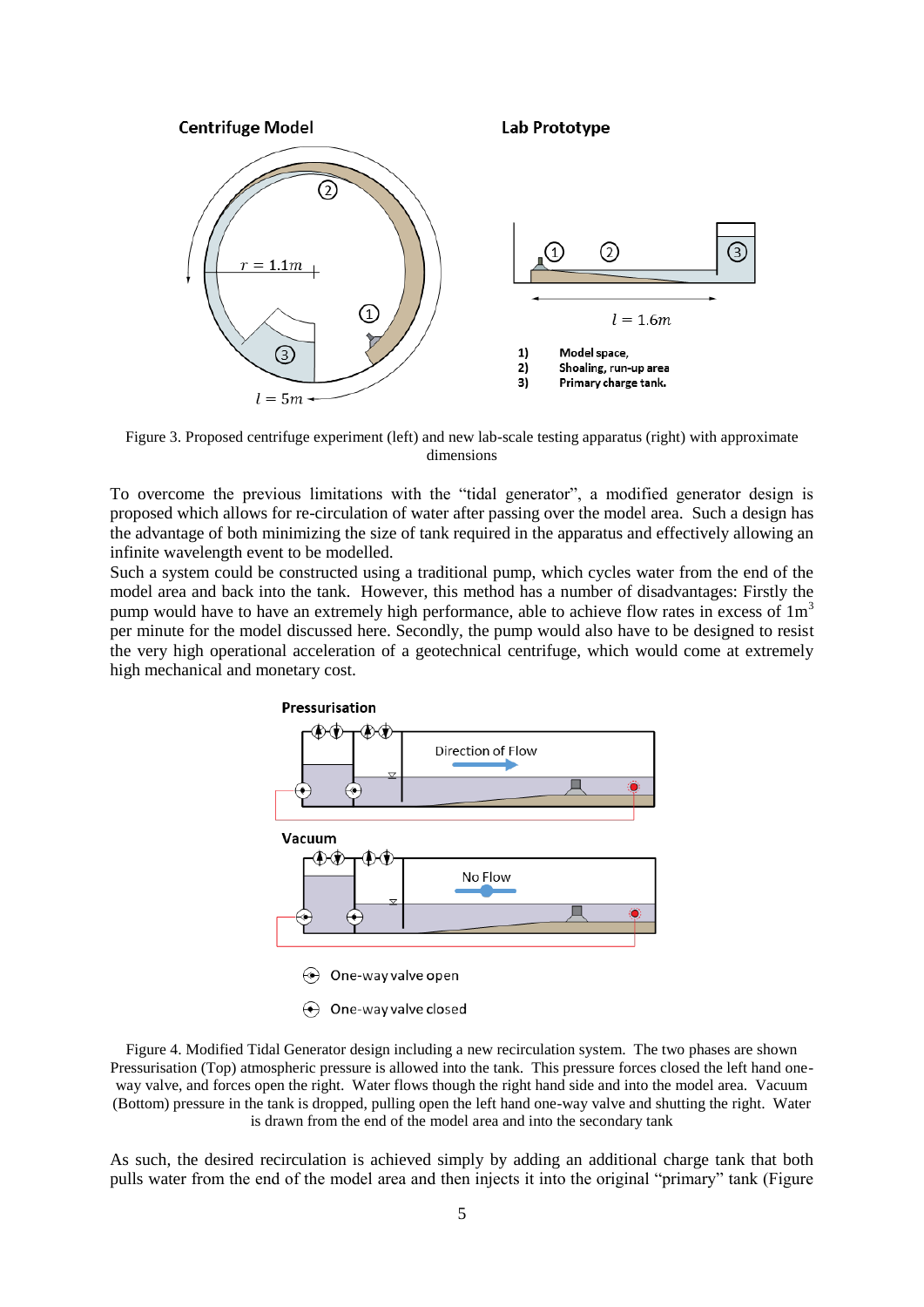

Figure 3. Proposed centrifuge experiment (left) and new lab-scale testing apparatus (right) with approximate dimensions

To overcome the previous limitations with the "tidal generator", a modified generator design is proposed which allows for re-circulation of water after passing over the model area. Such a design has the advantage of both minimizing the size of tank required in the apparatus and effectively allowing an infinite wavelength event to be modelled.

Such a system could be constructed using a traditional pump, which cycles water from the end of the model area and back into the tank. However, this method has a number of disadvantages: Firstly the pump would have to have an extremely high performance, able to achieve flow rates in excess of  $1m<sup>3</sup>$ per minute for the model discussed here. Secondly, the pump would also have to be designed to resist the very high operational acceleration of a geotechnical centrifuge, which would come at extremely high mechanical and monetary cost.



Figure 4. Modified Tidal Generator design including a new recirculation system. The two phases are shown Pressurisation (Top) atmospheric pressure is allowed into the tank. This pressure forces closed the left hand oneway valve, and forces open the right. Water flows though the right hand side and into the model area. Vacuum (Bottom) pressure in the tank is dropped, pulling open the left hand one-way valve and shutting the right. Water is drawn from the end of the model area and into the secondary tank

As such, the desired recirculation is achieved simply by adding an additional charge tank that both pulls water from the end of the model area and then injects it into the original "primary" tank (Figure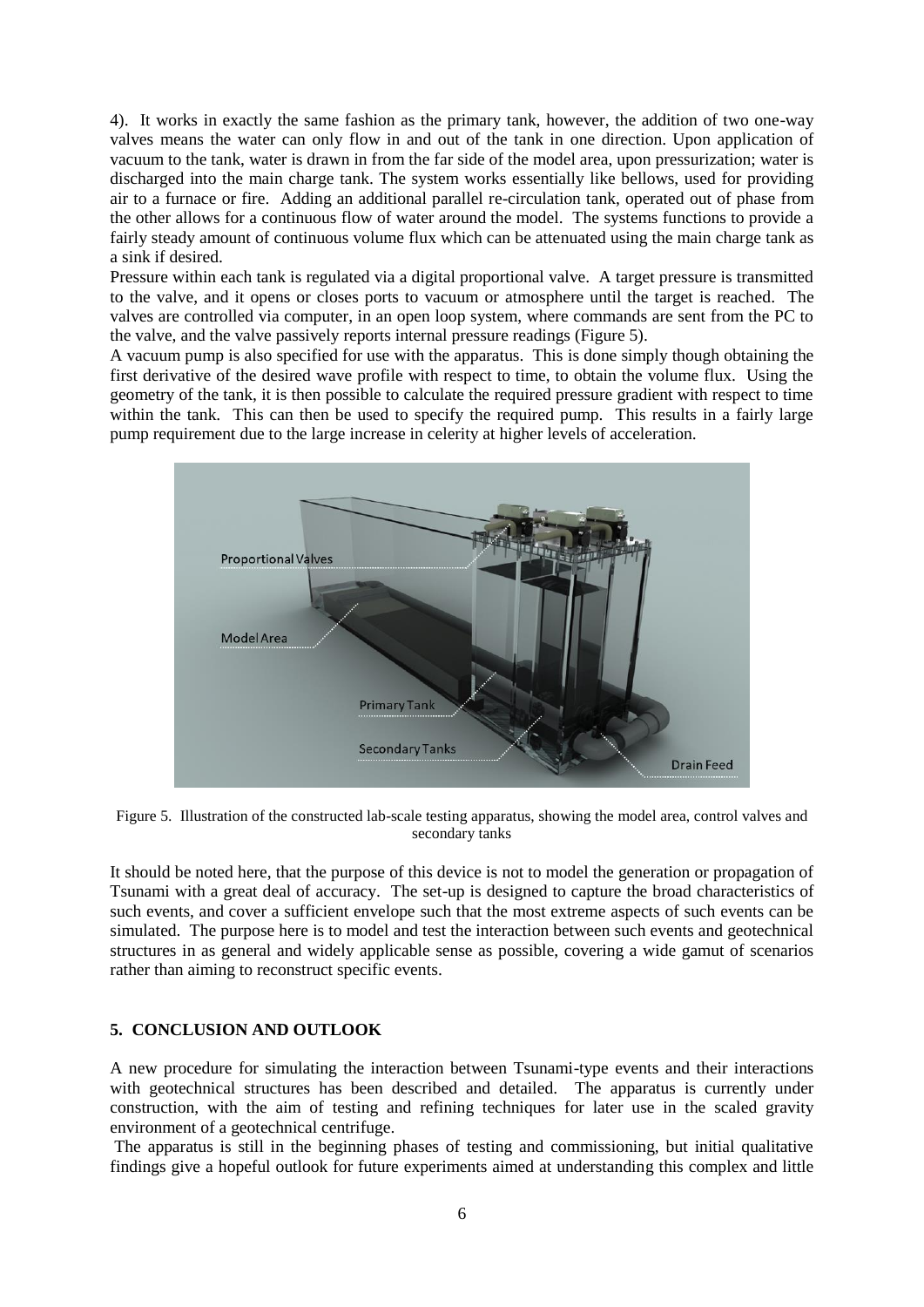4). It works in exactly the same fashion as the primary tank, however, the addition of two one-way valves means the water can only flow in and out of the tank in one direction. Upon application of vacuum to the tank, water is drawn in from the far side of the model area, upon pressurization; water is discharged into the main charge tank. The system works essentially like bellows, used for providing air to a furnace or fire. Adding an additional parallel re-circulation tank, operated out of phase from the other allows for a continuous flow of water around the model. The systems functions to provide a fairly steady amount of continuous volume flux which can be attenuated using the main charge tank as a sink if desired.

Pressure within each tank is regulated via a digital proportional valve. A target pressure is transmitted to the valve, and it opens or closes ports to vacuum or atmosphere until the target is reached. The valves are controlled via computer, in an open loop system, where commands are sent from the PC to the valve, and the valve passively reports internal pressure readings (Figure 5).

A vacuum pump is also specified for use with the apparatus. This is done simply though obtaining the first derivative of the desired wave profile with respect to time, to obtain the volume flux. Using the geometry of the tank, it is then possible to calculate the required pressure gradient with respect to time within the tank. This can then be used to specify the required pump. This results in a fairly large pump requirement due to the large increase in celerity at higher levels of acceleration.



Figure 5. Illustration of the constructed lab-scale testing apparatus, showing the model area, control valves and secondary tanks

It should be noted here, that the purpose of this device is not to model the generation or propagation of Tsunami with a great deal of accuracy. The set-up is designed to capture the broad characteristics of such events, and cover a sufficient envelope such that the most extreme aspects of such events can be simulated. The purpose here is to model and test the interaction between such events and geotechnical structures in as general and widely applicable sense as possible, covering a wide gamut of scenarios rather than aiming to reconstruct specific events.

## **5. CONCLUSION AND OUTLOOK**

A new procedure for simulating the interaction between Tsunami-type events and their interactions with geotechnical structures has been described and detailed. The apparatus is currently under construction, with the aim of testing and refining techniques for later use in the scaled gravity environment of a geotechnical centrifuge.

The apparatus is still in the beginning phases of testing and commissioning, but initial qualitative findings give a hopeful outlook for future experiments aimed at understanding this complex and little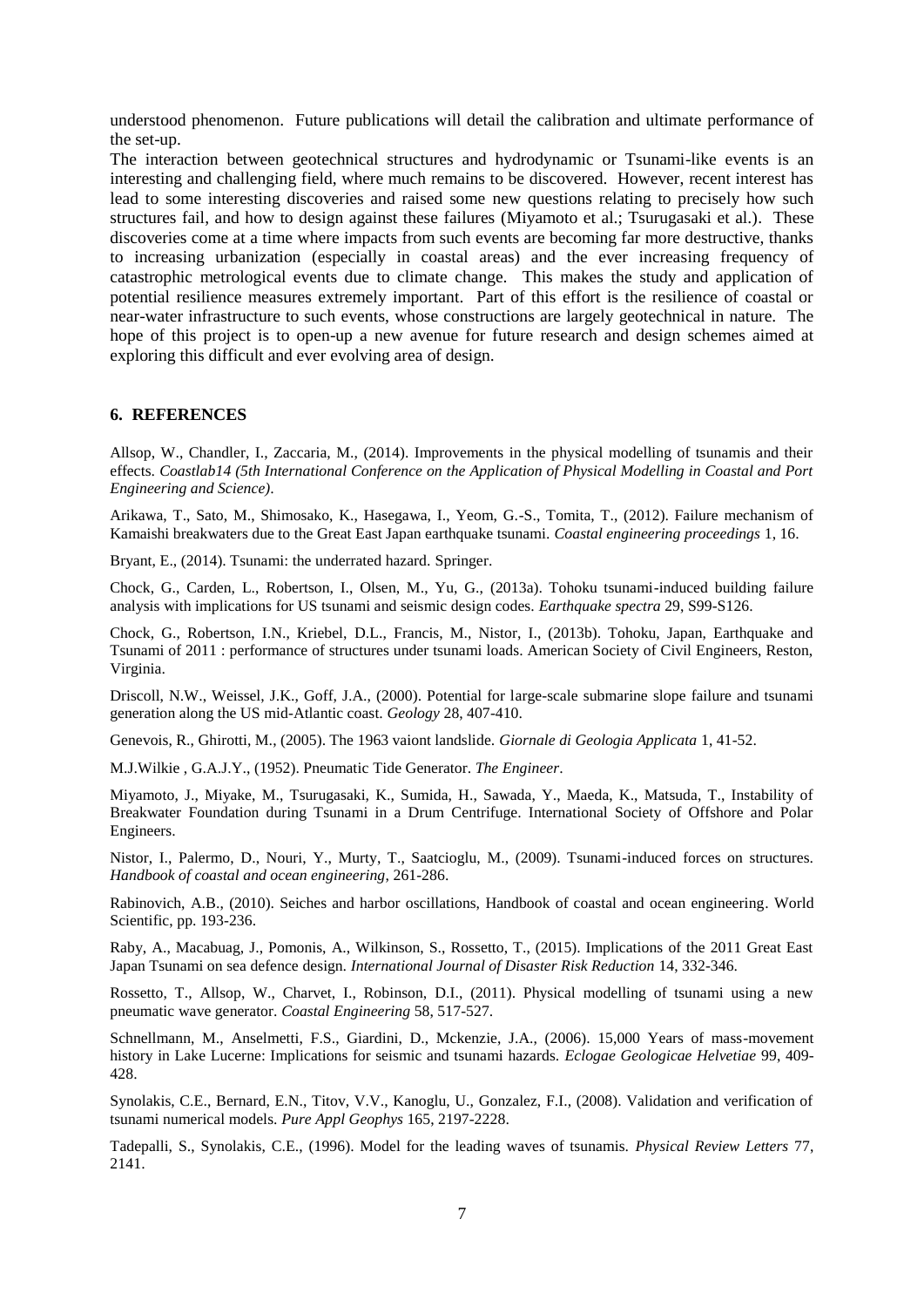understood phenomenon. Future publications will detail the calibration and ultimate performance of the set-up.

The interaction between geotechnical structures and hydrodynamic or Tsunami-like events is an interesting and challenging field, where much remains to be discovered. However, recent interest has lead to some interesting discoveries and raised some new questions relating to precisely how such structures fail, and how to design against these failures (Miyamoto et al.; Tsurugasaki et al.). These discoveries come at a time where impacts from such events are becoming far more destructive, thanks to increasing urbanization (especially in coastal areas) and the ever increasing frequency of catastrophic metrological events due to climate change. This makes the study and application of potential resilience measures extremely important. Part of this effort is the resilience of coastal or near-water infrastructure to such events, whose constructions are largely geotechnical in nature. The hope of this project is to open-up a new avenue for future research and design schemes aimed at exploring this difficult and ever evolving area of design.

#### **6. REFERENCES**

Allsop, W., Chandler, I., Zaccaria, M., (2014). Improvements in the physical modelling of tsunamis and their effects. *Coastlab14 (5th International Conference on the Application of Physical Modelling in Coastal and Port Engineering and Science)*.

Arikawa, T., Sato, M., Shimosako, K., Hasegawa, I., Yeom, G.-S., Tomita, T., (2012). Failure mechanism of Kamaishi breakwaters due to the Great East Japan earthquake tsunami. *Coastal engineering proceedings* 1, 16.

Bryant, E., (2014). Tsunami: the underrated hazard. Springer.

Chock, G., Carden, L., Robertson, I., Olsen, M., Yu, G., (2013a). Tohoku tsunami-induced building failure analysis with implications for US tsunami and seismic design codes. *Earthquake spectra* 29, S99-S126.

Chock, G., Robertson, I.N., Kriebel, D.L., Francis, M., Nistor, I., (2013b). Tohoku, Japan, Earthquake and Tsunami of 2011 : performance of structures under tsunami loads. American Society of Civil Engineers, Reston, Virginia.

Driscoll, N.W., Weissel, J.K., Goff, J.A., (2000). Potential for large-scale submarine slope failure and tsunami generation along the US mid-Atlantic coast. *Geology* 28, 407-410.

Genevois, R., Ghirotti, M., (2005). The 1963 vaiont landslide. *Giornale di Geologia Applicata* 1, 41-52.

M.J.Wilkie , G.A.J.Y., (1952). Pneumatic Tide Generator. *The Engineer*.

Miyamoto, J., Miyake, M., Tsurugasaki, K., Sumida, H., Sawada, Y., Maeda, K., Matsuda, T., Instability of Breakwater Foundation during Tsunami in a Drum Centrifuge. International Society of Offshore and Polar Engineers.

Nistor, I., Palermo, D., Nouri, Y., Murty, T., Saatcioglu, M., (2009). Tsunami-induced forces on structures. *Handbook of coastal and ocean engineering*, 261-286.

Rabinovich, A.B., (2010). Seiches and harbor oscillations, Handbook of coastal and ocean engineering. World Scientific, pp. 193-236.

Raby, A., Macabuag, J., Pomonis, A., Wilkinson, S., Rossetto, T., (2015). Implications of the 2011 Great East Japan Tsunami on sea defence design. *International Journal of Disaster Risk Reduction* 14, 332-346.

Rossetto, T., Allsop, W., Charvet, I., Robinson, D.I., (2011). Physical modelling of tsunami using a new pneumatic wave generator. *Coastal Engineering* 58, 517-527.

Schnellmann, M., Anselmetti, F.S., Giardini, D., Mckenzie, J.A., (2006). 15,000 Years of mass-movement history in Lake Lucerne: Implications for seismic and tsunami hazards. *Eclogae Geologicae Helvetiae* 99, 409- 428.

Synolakis, C.E., Bernard, E.N., Titov, V.V., Kanoglu, U., Gonzalez, F.I., (2008). Validation and verification of tsunami numerical models. *Pure Appl Geophys* 165, 2197-2228.

Tadepalli, S., Synolakis, C.E., (1996). Model for the leading waves of tsunamis. *Physical Review Letters* 77, 2141.